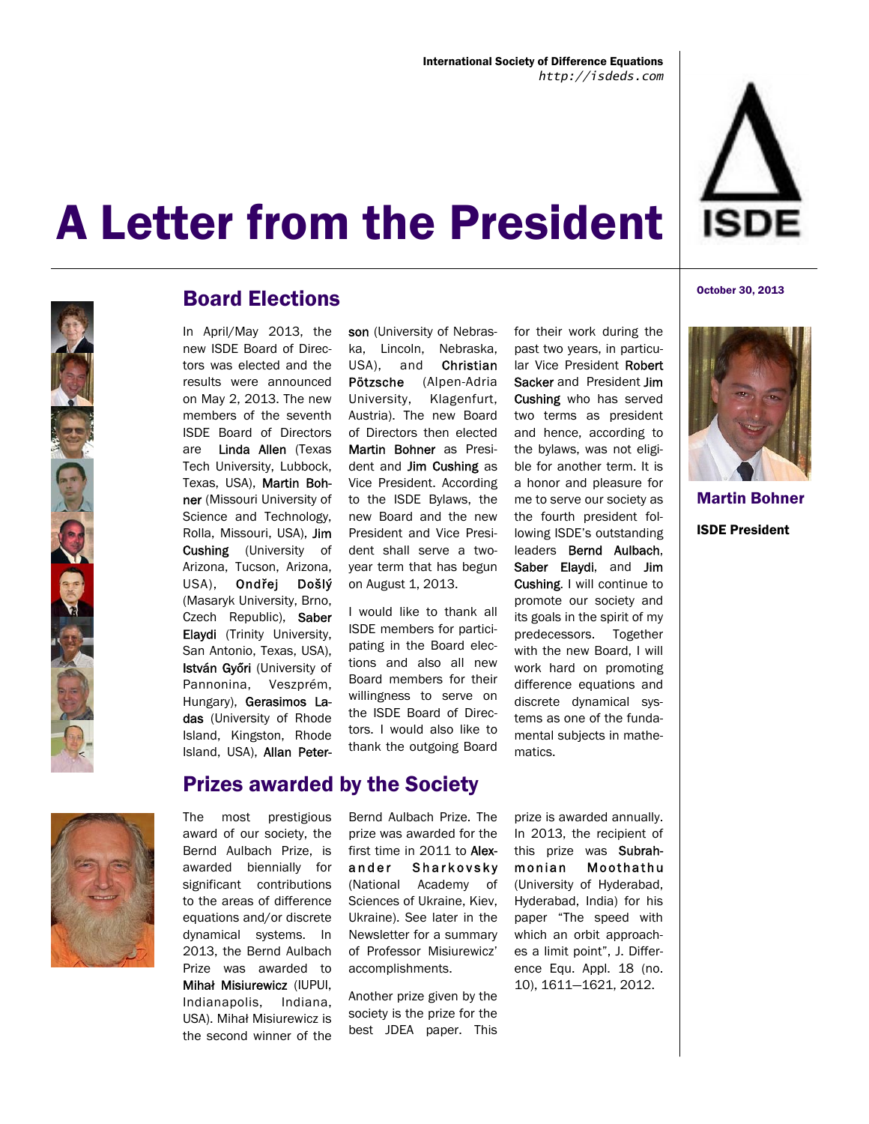



#### Board Elections

In April/May 2013, the new ISDE Board of Directors was elected and the results were announced on May 2, 2013. The new members of the seventh ISDE Board of Directors are Linda Allen (Texas Tech University, Lubbock, Texas, USA), Martin Bohner (Missouri University of Science and Technology, Rolla, Missouri, USA), Jim Cushing (University of Arizona, Tucson, Arizona, USA), Ondřej Došlý (Masaryk University, Brno, Czech Republic), Saber Elaydi (Trinity University, San Antonio, Texas, USA), István Győri (University of Pannonina, Veszprém, Hungary), Gerasimos Ladas (University of Rhode Island, Kingston, Rhode Island, USA), Allan Peterson (University of Nebraska, Lincoln, Nebraska, USA), and Christian Pötzsche (Alpen-Adria University, Klagenfurt, Austria). The new Board of Directors then elected Martin Bohner as President and Jim Cushing as Vice President. According to the ISDE Bylaws, the new Board and the new President and Vice President shall serve a twoyear term that has begun on August 1, 2013.

I would like to thank all ISDE members for participating in the Board elections and also all new Board members for their willingness to serve on the ISDE Board of Directors. I would also like to thank the outgoing Board

the bylaws, was not eligible for another term. It is a honor and pleasure for me to serve our society as the fourth president following ISDE's outstanding leaders Bernd Aulbach, Saber Elaydi, and Jim Cushing. I will continue to promote our society and its goals in the spirit of my predecessors. Together with the new Board, I will work hard on promoting difference equations and discrete dynamical systems as one of the fundamental subjects in mathematics.

for their work during the past two years, in particular Vice President Robert Sacker and President Jim Cushing who has served two terms as president and hence, according to

October 30, 2013



Martin Bohner ISDE President



#### Prizes awarded by the Society

The most prestigious award of our society, the Bernd Aulbach Prize, is awarded biennially for significant contributions to the areas of difference equations and/or discrete dynamical systems. In 2013, the Bernd Aulbach Prize was awarded to Mihał Misiurewicz (IUPUI, Indianapolis, Indiana, USA). Mihał Misiurewicz is the second winner of the

Bernd Aulbach Prize. The prize was awarded for the first time in 2011 to Alexander Sharkovsky (National Academy of Sciences of Ukraine, Kiev, Ukraine). See later in the Newsletter for a summary of Professor Misiurewicz' accomplishments.

Another prize given by the society is the prize for the best JDEA paper. This

prize is awarded annually. In 2013, the recipient of this prize was Subrahmonian Moothathu (University of Hyderabad, Hyderabad, India) for his paper "The speed with which an orbit approaches a limit point", J. Difference Equ. Appl. 18 (no. 10), 1611—1621, 2012.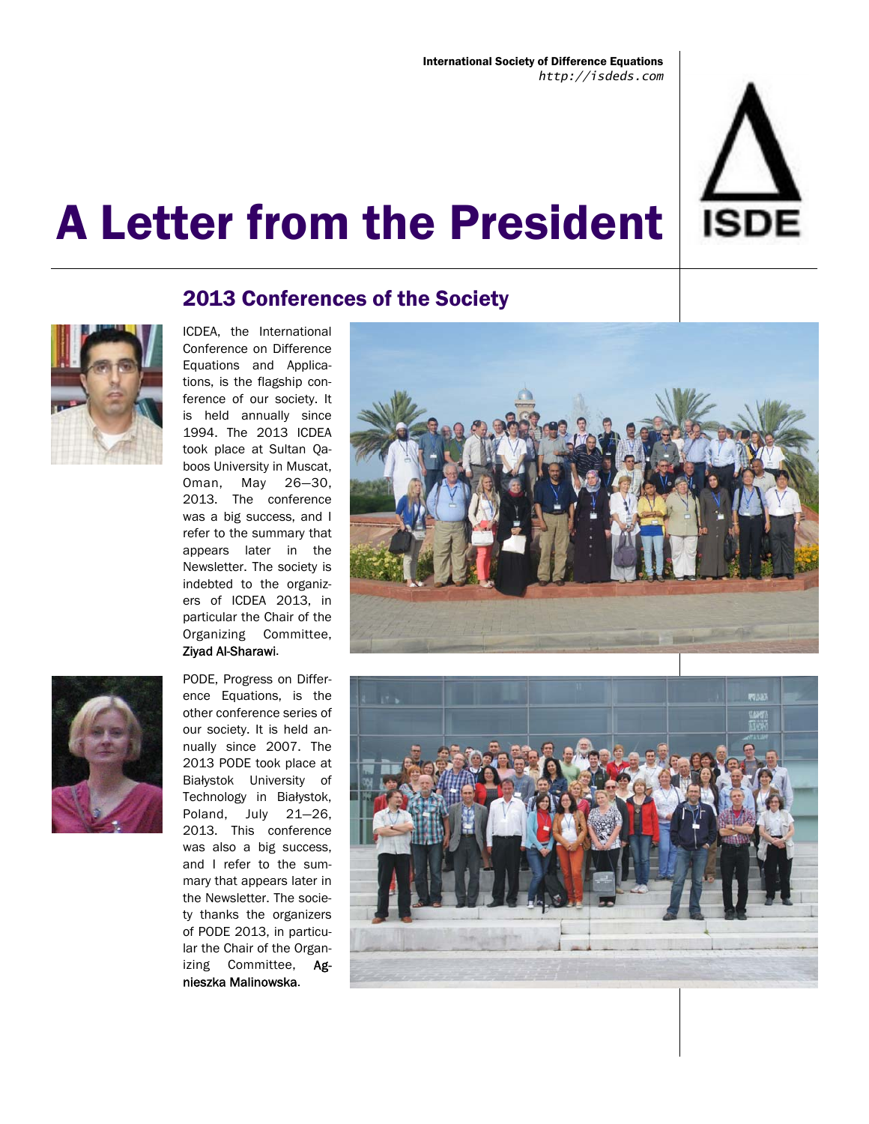

### 2013 Conferences of the Society



ICDEA, the International Conference on Difference Equations and Applications, is the flagship conference of our society. It is held annually since 1994. The 2013 ICDEA took place at Sultan Qaboos University in Muscat, Oman, May 26—30, 2013. The conference was a big success, and I refer to the summary that appears later in the Newsletter. The society is indebted to the organizers of ICDEA 2013, in particular the Chair of the Organizing Committee, Ziyad Al-Sharawi.



PODE, Progress on Difference Equations, is the other conference series of our society. It is held annually since 2007. The 2013 PODE took place at Białystok University of Technology in Białystok, Poland, July 21—26, 2013. This conference was also a big success, and I refer to the summary that appears later in the Newsletter. The society thanks the organizers of PODE 2013, in particular the Chair of the Organizing Committee, Agnieszka Malinowska.



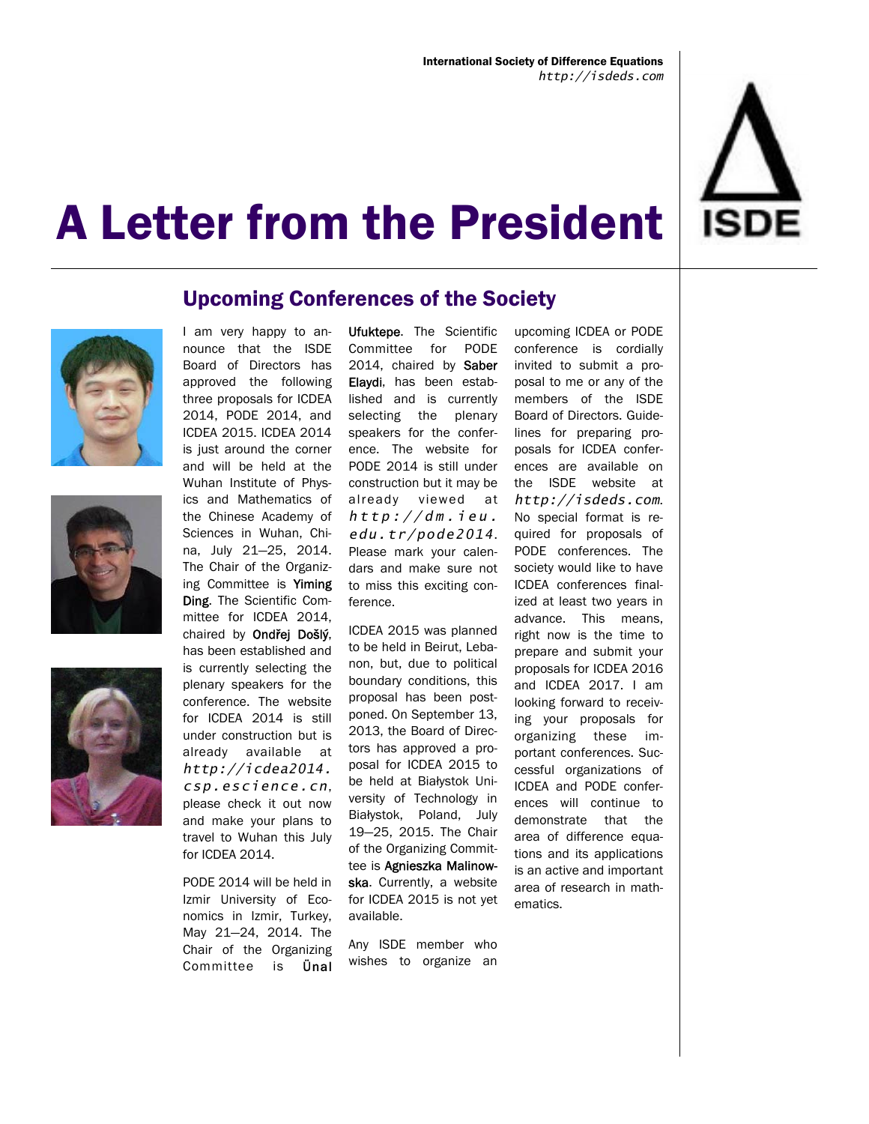







#### Upcoming Conferences of the Society

I am very happy to announce that the ISDE Board of Directors has approved the following three proposals for ICDEA 2014, PODE 2014, and ICDEA 2015. ICDEA 2014 is just around the corner and will be held at the Wuhan Institute of Physics and Mathematics of the Chinese Academy of Sciences in Wuhan, China, July 21—25, 2014. The Chair of the Organizing Committee is Yiming Ding. The Scientific Committee for ICDEA 2014, chaired by Ondřej Došlý, has been established and is currently selecting the plenary speakers for the conference. The website for ICDEA 2014 is still under construction but is already available at *http://icdea2014. csp.escience.cn*, please check it out now and make your plans to travel to Wuhan this July for ICDEA 2014.

PODE 2014 will be held in Izmir University of Economics in Izmir, Turkey, May 21—24, 2014. The Chair of the Organizing Committee is Ünal Ufuktepe. The Scientific Committee for PODE 2014, chaired by Saber Elaydi, has been established and is currently selecting the plenary speakers for the conference. The website for PODE 2014 is still under construction but it may be already viewed at *h t t p : / / d m . i e u . edu.tr/pode2014*. Please mark your calendars and make sure not to miss this exciting conference.

ICDEA 2015 was planned to be held in Beirut, Lebanon, but, due to political boundary conditions, this proposal has been postponed. On September 13, 2013, the Board of Directors has approved a proposal for ICDEA 2015 to be held at Białystok University of Technology in Białystok, Poland, July 19—25, 2015. The Chair of the Organizing Committee is Agnieszka Malinowska. Currently, a website for ICDEA 2015 is not yet available.

Any ISDE member who wishes to organize an

upcoming ICDEA or PODE conference is cordially invited to submit a proposal to me or any of the members of the ISDE Board of Directors. Guidelines for preparing proposals for ICDEA conferences are available on the ISDE website at *http://isdeds.com*. No special format is required for proposals of PODE conferences. The society would like to have ICDEA conferences finalized at least two years in advance. This means, right now is the time to prepare and submit your proposals for ICDEA 2016 and ICDEA 2017. I am looking forward to receiving your proposals for organizing these important conferences. Successful organizations of ICDEA and PODE conferences will continue to demonstrate that the area of difference equations and its applications is an active and important area of research in mathematics.